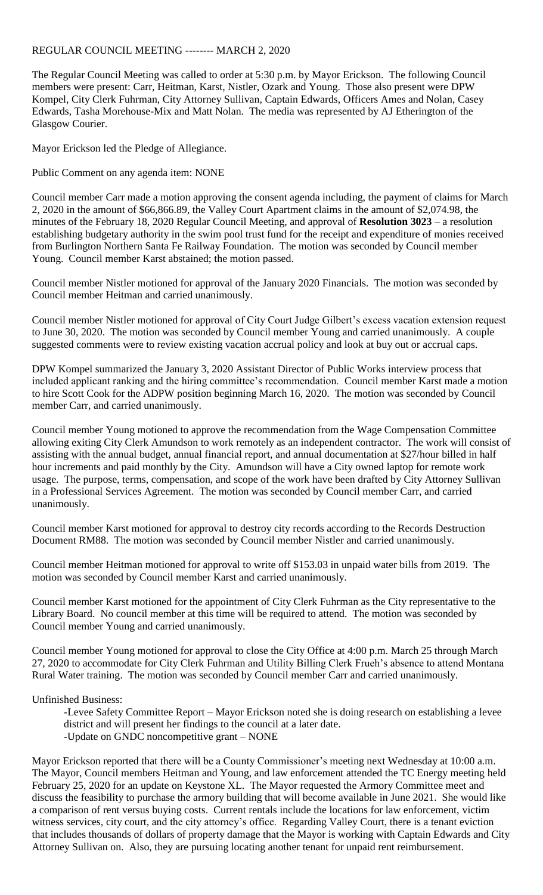## REGULAR COUNCIL MEETING -------- MARCH 2, 2020

The Regular Council Meeting was called to order at 5:30 p.m. by Mayor Erickson. The following Council members were present: Carr, Heitman, Karst, Nistler, Ozark and Young. Those also present were DPW Kompel, City Clerk Fuhrman, City Attorney Sullivan, Captain Edwards, Officers Ames and Nolan, Casey Edwards, Tasha Morehouse-Mix and Matt Nolan. The media was represented by AJ Etherington of the Glasgow Courier.

Mayor Erickson led the Pledge of Allegiance.

Public Comment on any agenda item: NONE

Council member Carr made a motion approving the consent agenda including, the payment of claims for March 2, 2020 in the amount of \$66,866.89, the Valley Court Apartment claims in the amount of \$2,074.98, the minutes of the February 18, 2020 Regular Council Meeting, and approval of **Resolution 3023** – a resolution establishing budgetary authority in the swim pool trust fund for the receipt and expenditure of monies received from Burlington Northern Santa Fe Railway Foundation. The motion was seconded by Council member Young. Council member Karst abstained; the motion passed.

Council member Nistler motioned for approval of the January 2020 Financials. The motion was seconded by Council member Heitman and carried unanimously.

Council member Nistler motioned for approval of City Court Judge Gilbert's excess vacation extension request to June 30, 2020. The motion was seconded by Council member Young and carried unanimously. A couple suggested comments were to review existing vacation accrual policy and look at buy out or accrual caps.

DPW Kompel summarized the January 3, 2020 Assistant Director of Public Works interview process that included applicant ranking and the hiring committee's recommendation. Council member Karst made a motion to hire Scott Cook for the ADPW position beginning March 16, 2020. The motion was seconded by Council member Carr, and carried unanimously.

Council member Young motioned to approve the recommendation from the Wage Compensation Committee allowing exiting City Clerk Amundson to work remotely as an independent contractor. The work will consist of assisting with the annual budget, annual financial report, and annual documentation at \$27/hour billed in half hour increments and paid monthly by the City. Amundson will have a City owned laptop for remote work usage. The purpose, terms, compensation, and scope of the work have been drafted by City Attorney Sullivan in a Professional Services Agreement. The motion was seconded by Council member Carr, and carried unanimously.

Council member Karst motioned for approval to destroy city records according to the Records Destruction Document RM88. The motion was seconded by Council member Nistler and carried unanimously.

Council member Heitman motioned for approval to write off \$153.03 in unpaid water bills from 2019. The motion was seconded by Council member Karst and carried unanimously.

Council member Karst motioned for the appointment of City Clerk Fuhrman as the City representative to the Library Board. No council member at this time will be required to attend. The motion was seconded by Council member Young and carried unanimously.

Council member Young motioned for approval to close the City Office at 4:00 p.m. March 25 through March 27, 2020 to accommodate for City Clerk Fuhrman and Utility Billing Clerk Frueh's absence to attend Montana Rural Water training. The motion was seconded by Council member Carr and carried unanimously.

Unfinished Business:

-Levee Safety Committee Report – Mayor Erickson noted she is doing research on establishing a levee district and will present her findings to the council at a later date. -Update on GNDC noncompetitive grant – NONE

Mayor Erickson reported that there will be a County Commissioner's meeting next Wednesday at 10:00 a.m. The Mayor, Council members Heitman and Young, and law enforcement attended the TC Energy meeting held February 25, 2020 for an update on Keystone XL. The Mayor requested the Armory Committee meet and discuss the feasibility to purchase the armory building that will become available in June 2021. She would like a comparison of rent versus buying costs. Current rentals include the locations for law enforcement, victim witness services, city court, and the city attorney's office. Regarding Valley Court, there is a tenant eviction that includes thousands of dollars of property damage that the Mayor is working with Captain Edwards and City Attorney Sullivan on. Also, they are pursuing locating another tenant for unpaid rent reimbursement.